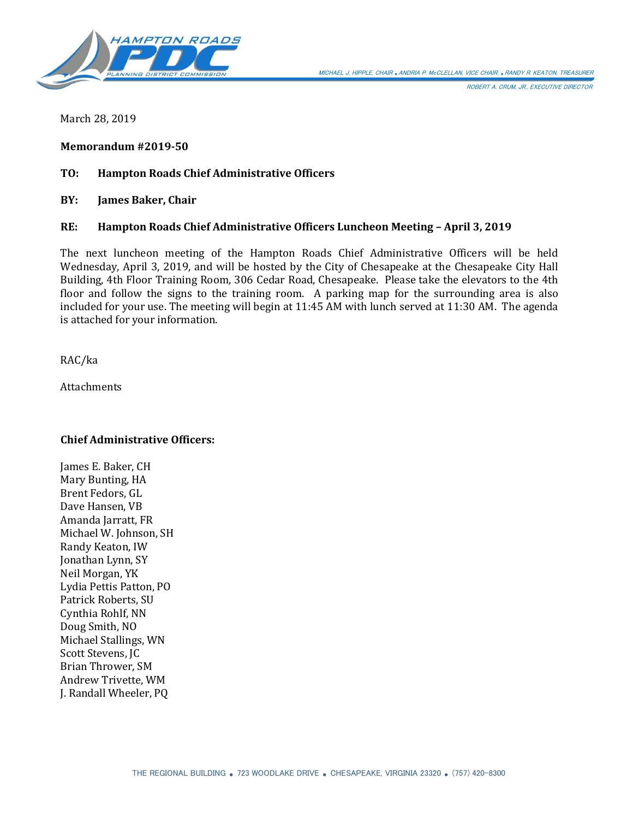

ROBERT A. CRUM, JR., EXECUTIVE DIRECTOR

March 28, 2019

**Memorandum #2019-50**

#### **TO: Hampton Roads Chief Administrative Officers**

**BY: James Baker, Chair**

#### **RE: Hampton Roads Chief Administrative Officers Luncheon Meeting – April 3, 2019**

The next luncheon meeting of the Hampton Roads Chief Administrative Officers will be held Wednesday, April 3, 2019, and will be hosted by the City of Chesapeake at the Chesapeake City Hall Building, 4th Floor Training Room, 306 Cedar Road, Chesapeake. Please take the elevators to the 4th floor and follow the signs to the training room. A parking map for the surrounding area is also included for your use. The meeting will begin at 11:45 AM with lunch served at 11:30 AM. The agenda is attached for your information.

RAC/ka

Attachments

#### **Chief Administrative Officers:**

James E. Baker, CH Mary Bunting, HA Brent Fedors, GL Dave Hansen, VB Amanda Jarratt, FR Michael W. Johnson, SH Randy Keaton, IW Jonathan Lynn, SY Neil Morgan, YK Lydia Pettis Patton, PO Patrick Roberts, SU Cynthia Rohlf, NN Doug Smith, NO Michael Stallings, WN Scott Stevens, JC Brian Thrower, SM Andrew Trivette, WM J. Randall Wheeler, PQ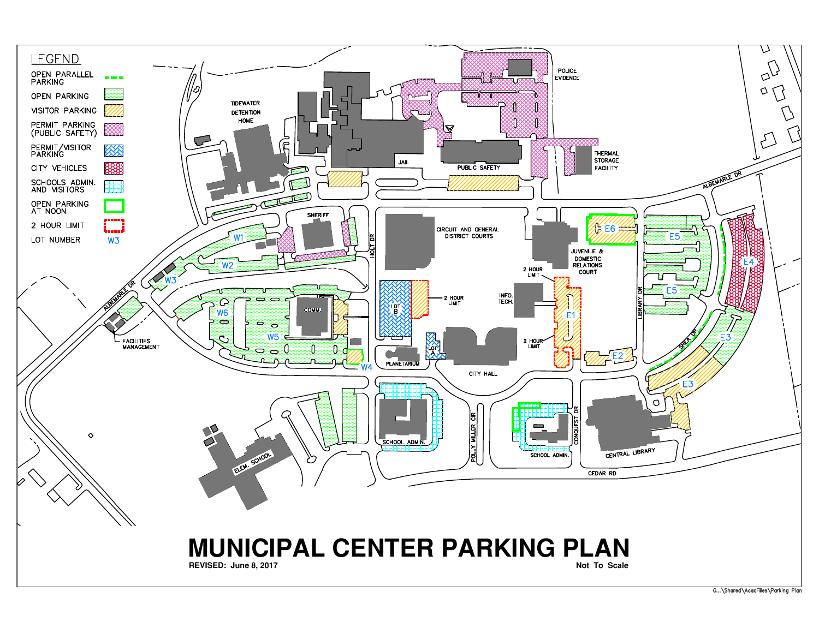

G... \Shared \AcadFiles \Parking Plan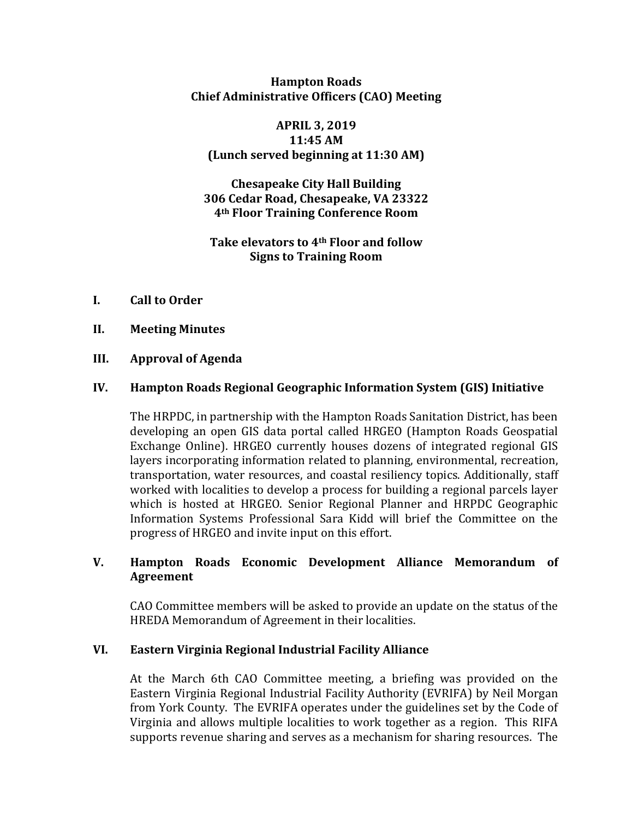**Hampton Roads Chief Administrative Officers (CAO) Meeting**

#### **APRIL 3, 2019 11:45 AM (Lunch served beginning at 11:30 AM)**

**Chesapeake City Hall Building 306 Cedar Road, Chesapeake, VA 23322 4th Floor Training Conference Room**

### **Take elevators to 4th Floor and follow Signs to Training Room**

- **I. Call to Order**
- **II. Meeting Minutes**

# **III. Approval of Agenda**

# **IV. Hampton Roads Regional Geographic Information System (GIS) Initiative**

The HRPDC, in partnership with the Hampton Roads Sanitation District, has been developing an open GIS data portal called HRGEO (Hampton Roads Geospatial Exchange Online). HRGEO currently houses dozens of integrated regional GIS layers incorporating information related to planning, environmental, recreation, transportation, water resources, and coastal resiliency topics. Additionally, staff worked with localities to develop a process for building a regional parcels layer which is hosted at HRGEO. Senior Regional Planner and HRPDC Geographic Information Systems Professional Sara Kidd will brief the Committee on the progress of HRGEO and invite input on this effort.

# **V. Hampton Roads Economic Development Alliance Memorandum of Agreement**

CAO Committee members will be asked to provide an update on the status of the HREDA Memorandum of Agreement in their localities.

### **VI. Eastern Virginia Regional Industrial Facility Alliance**

At the March 6th CAO Committee meeting, a briefing was provided on the Eastern Virginia Regional Industrial Facility Authority (EVRIFA) by Neil Morgan from York County. The EVRIFA operates under the guidelines set by the Code of Virginia and allows multiple localities to work together as a region. This RIFA supports revenue sharing and serves as a mechanism for sharing resources. The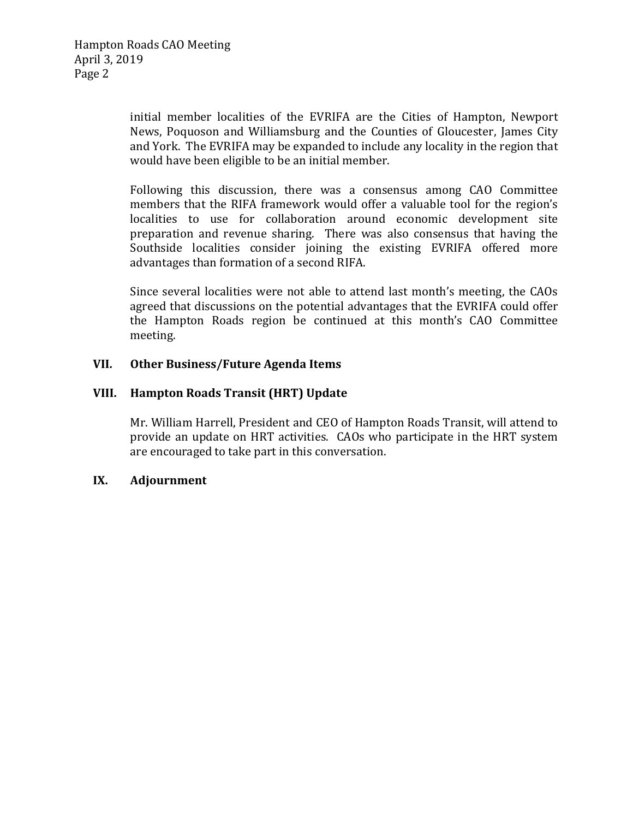initial member localities of the EVRIFA are the Cities of Hampton, Newport News, Poquoson and Williamsburg and the Counties of Gloucester, James City and York. The EVRIFA may be expanded to include any locality in the region that would have been eligible to be an initial member.

Following this discussion, there was a consensus among CAO Committee members that the RIFA framework would offer a valuable tool for the region's localities to use for collaboration around economic development site preparation and revenue sharing. There was also consensus that having the Southside localities consider joining the existing EVRIFA offered more advantages than formation of a second RIFA.

Since several localities were not able to attend last month's meeting, the CAOs agreed that discussions on the potential advantages that the EVRIFA could offer the Hampton Roads region be continued at this month's CAO Committee meeting.

### **VII. Other Business/Future Agenda Items**

# **VIII. Hampton Roads Transit (HRT) Update**

Mr. William Harrell, President and CEO of Hampton Roads Transit, will attend to provide an update on HRT activities. CAOs who participate in the HRT system are encouraged to take part in this conversation.

### **IX. Adjournment**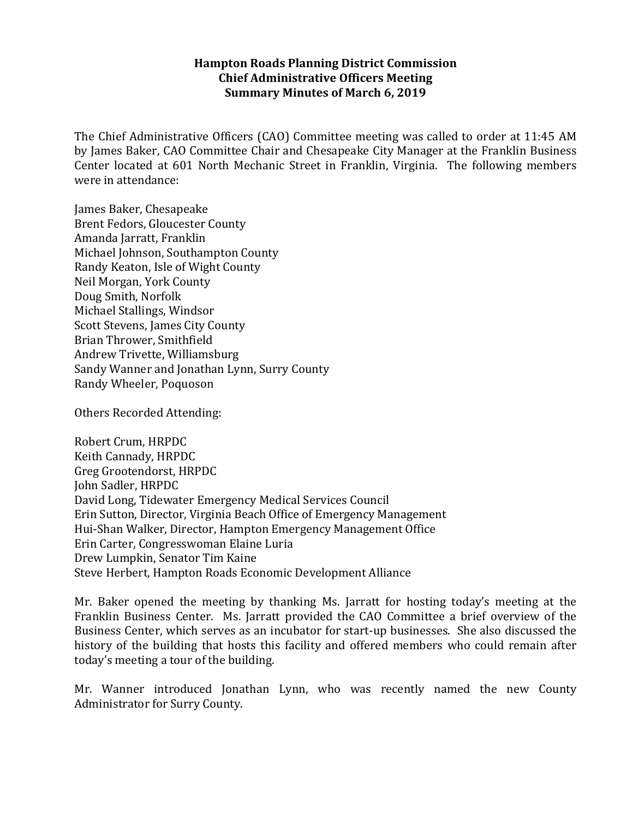### **Hampton Roads Planning District Commission Chief Administrative Officers Meeting Summary Minutes of March 6, 2019**

The Chief Administrative Officers (CAO) Committee meeting was called to order at 11:45 AM by James Baker, CAO Committee Chair and Chesapeake City Manager at the Franklin Business Center located at 601 North Mechanic Street in Franklin, Virginia. The following members were in attendance:

James Baker, Chesapeake Brent Fedors, Gloucester County Amanda Jarratt, Franklin Michael Johnson, Southampton County Randy Keaton, Isle of Wight County Neil Morgan, York County Doug Smith, Norfolk Michael Stallings, Windsor Scott Stevens, James City County Brian Thrower, Smithfield Andrew Trivette, Williamsburg Sandy Wanner and Jonathan Lynn, Surry County Randy Wheeler, Poquoson

Others Recorded Attending:

Robert Crum, HRPDC Keith Cannady, HRPDC Greg Grootendorst, HRPDC John Sadler, HRPDC David Long, Tidewater Emergency Medical Services Council Erin Sutton, Director, Virginia Beach Office of Emergency Management Hui-Shan Walker, Director, Hampton Emergency Management Office Erin Carter, Congresswoman Elaine Luria Drew Lumpkin, Senator Tim Kaine Steve Herbert, Hampton Roads Economic Development Alliance

Mr. Baker opened the meeting by thanking Ms. Jarratt for hosting today's meeting at the Franklin Business Center. Ms. Jarratt provided the CAO Committee a brief overview of the Business Center, which serves as an incubator for start-up businesses. She also discussed the history of the building that hosts this facility and offered members who could remain after today's meeting a tour of the building.

Mr. Wanner introduced Jonathan Lynn, who was recently named the new County Administrator for Surry County.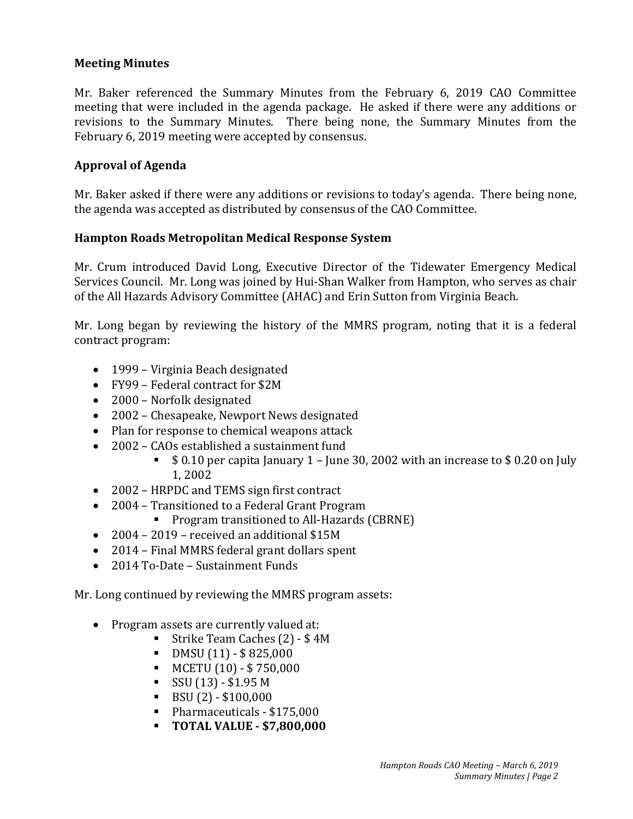## **Meeting Minutes**

Mr. Baker referenced the Summary Minutes from the February 6, 2019 CAO Committee meeting that were included in the agenda package. He asked if there were any additions or revisions to the Summary Minutes. There being none, the Summary Minutes from the February 6, 2019 meeting were accepted by consensus.

# **Approval of Agenda**

Mr. Baker asked if there were any additions or revisions to today's agenda. There being none, the agenda was accepted as distributed by consensus of the CAO Committee.

### **Hampton Roads Metropolitan Medical Response System**

Mr. Crum introduced David Long, Executive Director of the Tidewater Emergency Medical Services Council. Mr. Long was joined by Hui-Shan Walker from Hampton, who serves as chair of the All Hazards Advisory Committee (AHAC) and Erin Sutton from Virginia Beach.

Mr. Long began by reviewing the history of the MMRS program, noting that it is a federal contract program:

- 1999 Virginia Beach designated
- FY99 Federal contract for \$2M
- 2000 Norfolk designated
- 2002 Chesapeake, Newport News designated
- Plan for response to chemical weapons attack
- 2002 CAOs established a sustainment fund
	- $\bullet$  \$ 0.10 per capita January 1 June 30, 2002 with an increase to \$0.20 on July 1, 2002
- 2002 HRPDC and TEMS sign first contract
- 2004 Transitioned to a Federal Grant Program
	- **Program transitioned to All-Hazards (CBRNE)**
- 2004 2019 received an additional \$15M
- 2014 Final MMRS federal grant dollars spent
- 2014 To-Date Sustainment Funds

Mr. Long continued by reviewing the MMRS program assets:

- Program assets are currently valued at:
	- Strike Team Caches (2) \$ 4M
	- $\blacksquare$  DMSU (11) \$825,000
	- $\blacksquare$  MCETU (10) \$750,000
	- $\sim$  SSU (13) \$1.95 M
	- $\bullet$  BSU (2) \$100,000
	- Pharmaceuticals \$175,000
	- **TOTAL VALUE - \$7,800,000**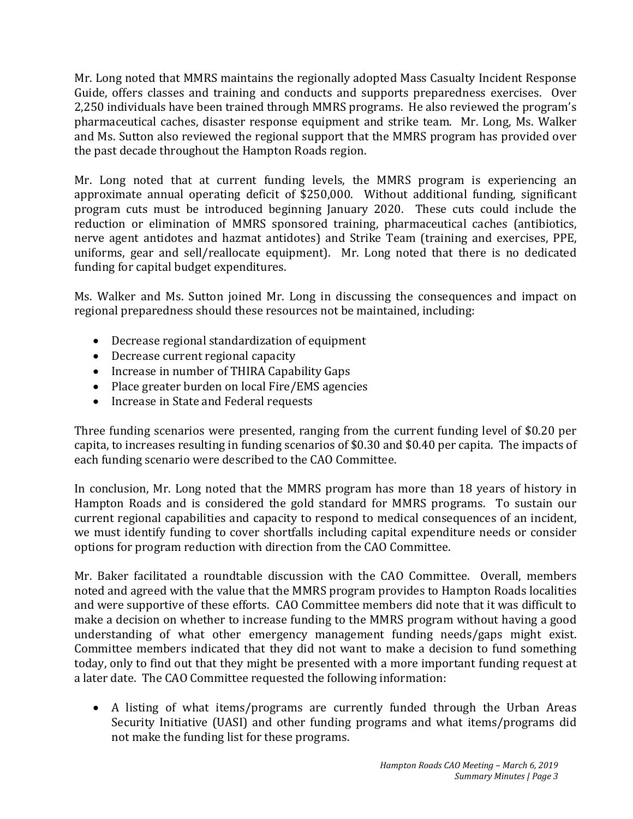Mr. Long noted that MMRS maintains the regionally adopted Mass Casualty Incident Response Guide, offers classes and training and conducts and supports preparedness exercises. Over 2,250 individuals have been trained through MMRS programs. He also reviewed the program's pharmaceutical caches, disaster response equipment and strike team. Mr. Long, Ms. Walker and Ms. Sutton also reviewed the regional support that the MMRS program has provided over the past decade throughout the Hampton Roads region.

Mr. Long noted that at current funding levels, the MMRS program is experiencing an approximate annual operating deficit of \$250,000. Without additional funding, significant program cuts must be introduced beginning January 2020. These cuts could include the reduction or elimination of MMRS sponsored training, pharmaceutical caches (antibiotics, nerve agent antidotes and hazmat antidotes) and Strike Team (training and exercises, PPE, uniforms, gear and sell/reallocate equipment). Mr. Long noted that there is no dedicated funding for capital budget expenditures.

Ms. Walker and Ms. Sutton joined Mr. Long in discussing the consequences and impact on regional preparedness should these resources not be maintained, including:

- Decrease regional standardization of equipment
- Decrease current regional capacity
- Increase in number of THIRA Capability Gaps
- Place greater burden on local Fire/EMS agencies
- Increase in State and Federal requests

Three funding scenarios were presented, ranging from the current funding level of \$0.20 per capita, to increases resulting in funding scenarios of \$0.30 and \$0.40 per capita. The impacts of each funding scenario were described to the CAO Committee.

In conclusion, Mr. Long noted that the MMRS program has more than 18 years of history in Hampton Roads and is considered the gold standard for MMRS programs. To sustain our current regional capabilities and capacity to respond to medical consequences of an incident, we must identify funding to cover shortfalls including capital expenditure needs or consider options for program reduction with direction from the CAO Committee.

Mr. Baker facilitated a roundtable discussion with the CAO Committee. Overall, members noted and agreed with the value that the MMRS program provides to Hampton Roads localities and were supportive of these efforts. CAO Committee members did note that it was difficult to make a decision on whether to increase funding to the MMRS program without having a good understanding of what other emergency management funding needs/gaps might exist. Committee members indicated that they did not want to make a decision to fund something today, only to find out that they might be presented with a more important funding request at a later date. The CAO Committee requested the following information:

• A listing of what items/programs are currently funded through the Urban Areas Security Initiative (UASI) and other funding programs and what items/programs did not make the funding list for these programs.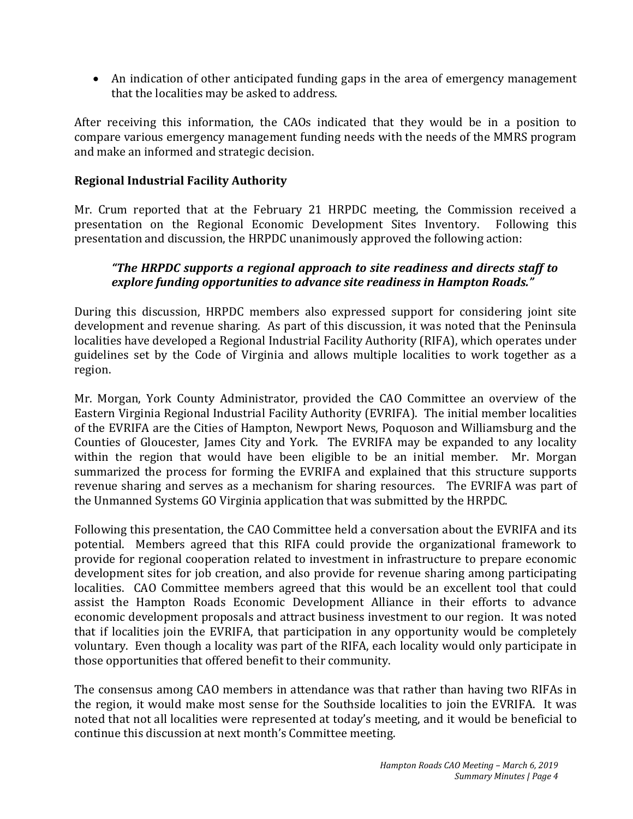• An indication of other anticipated funding gaps in the area of emergency management that the localities may be asked to address.

After receiving this information, the CAOs indicated that they would be in a position to compare various emergency management funding needs with the needs of the MMRS program and make an informed and strategic decision.

## **Regional Industrial Facility Authority**

Mr. Crum reported that at the February 21 HRPDC meeting, the Commission received a presentation on the Regional Economic Development Sites Inventory. Following this presentation on the Regional Economic Development Sites Inventory. presentation and discussion, the HRPDC unanimously approved the following action:

# *"The HRPDC supports a regional approach to site readiness and directs staff to explore funding opportunities to advance site readiness in Hampton Roads."*

During this discussion, HRPDC members also expressed support for considering joint site development and revenue sharing. As part of this discussion, it was noted that the Peninsula localities have developed a Regional Industrial Facility Authority (RIFA), which operates under guidelines set by the Code of Virginia and allows multiple localities to work together as a region.

Mr. Morgan, York County Administrator, provided the CAO Committee an overview of the Eastern Virginia Regional Industrial Facility Authority (EVRIFA). The initial member localities of the EVRIFA are the Cities of Hampton, Newport News, Poquoson and Williamsburg and the Counties of Gloucester, James City and York. The EVRIFA may be expanded to any locality within the region that would have been eligible to be an initial member. Mr. Morgan summarized the process for forming the EVRIFA and explained that this structure supports revenue sharing and serves as a mechanism for sharing resources. The EVRIFA was part of the Unmanned Systems GO Virginia application that was submitted by the HRPDC.

Following this presentation, the CAO Committee held a conversation about the EVRIFA and its potential. Members agreed that this RIFA could provide the organizational framework to provide for regional cooperation related to investment in infrastructure to prepare economic development sites for job creation, and also provide for revenue sharing among participating localities. CAO Committee members agreed that this would be an excellent tool that could assist the Hampton Roads Economic Development Alliance in their efforts to advance economic development proposals and attract business investment to our region. It was noted that if localities join the EVRIFA, that participation in any opportunity would be completely voluntary. Even though a locality was part of the RIFA, each locality would only participate in those opportunities that offered benefit to their community.

The consensus among CAO members in attendance was that rather than having two RIFAs in the region, it would make most sense for the Southside localities to join the EVRIFA. It was noted that not all localities were represented at today's meeting, and it would be beneficial to continue this discussion at next month's Committee meeting.